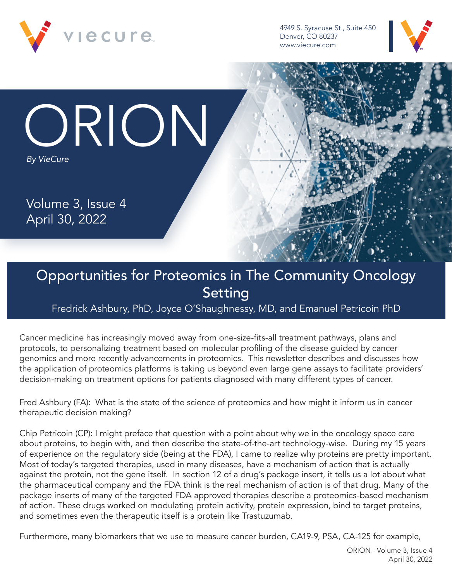

4949 S. Syracuse St., Suite 450 Denver, CO 80237 www.viecure.com



ORION *By VieCure*

Volume 3, Issue 4 April 30, 2022

## Opportunities for Proteomics in The Community Oncology Setting

Fredrick Ashbury, PhD, Joyce O'Shaughnessy, MD, and Emanuel Petricoin PhD

Cancer medicine has increasingly moved away from one-size-fits-all treatment pathways, plans and protocols, to personalizing treatment based on molecular profiling of the disease guided by cancer genomics and more recently advancements in proteomics. This newsletter describes and discusses how the application of proteomics platforms is taking us beyond even large gene assays to facilitate providers' decision-making on treatment options for patients diagnosed with many different types of cancer.

Fred Ashbury (FA): What is the state of the science of proteomics and how might it inform us in cancer therapeutic decision making?

Chip Petricoin (CP): I might preface that question with a point about why we in the oncology space care about proteins, to begin with, and then describe the state-of-the-art technology-wise. During my 15 years of experience on the regulatory side (being at the FDA), I came to realize why proteins are pretty important. Most of today's targeted therapies, used in many diseases, have a mechanism of action that is actually against the protein, not the gene itself. In section 12 of a drug's package insert, it tells us a lot about what the pharmaceutical company and the FDA think is the real mechanism of action is of that drug. Many of the package inserts of many of the targeted FDA approved therapies describe a proteomics-based mechanism of action. These drugs worked on modulating protein activity, protein expression, bind to target proteins, and sometimes even the therapeutic itself is a protein like Trastuzumab.

Furthermore, many biomarkers that we use to measure cancer burden, CA19-9, PSA, CA-125 for example,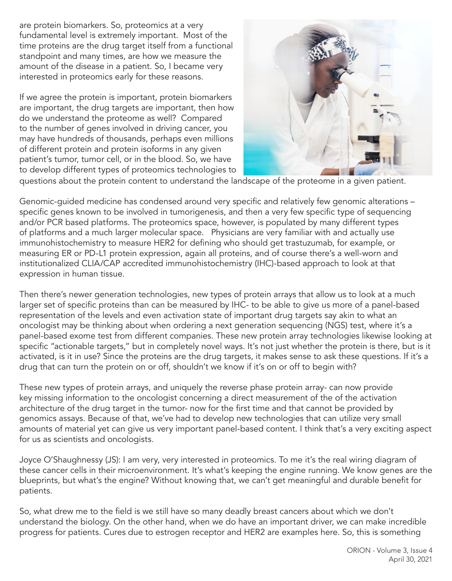are protein biomarkers. So, proteomics at a very fundamental level is extremely important. Most of the time proteins are the drug target itself from a functional standpoint and many times, are how we measure the amount of the disease in a patient. So, I became very interested in proteomics early for these reasons.

If we agree the protein is important, protein biomarkers are important, the drug targets are important, then how do we understand the proteome as well? Compared to the number of genes involved in driving cancer, you may have hundreds of thousands, perhaps even millions of different protein and protein isoforms in any given patient's tumor, tumor cell, or in the blood. So, we have to develop different types of proteomics technologies to



questions about the protein content to understand the landscape of the proteome in a given patient.

Genomic-guided medicine has condensed around very specific and relatively few genomic alterations – specific genes known to be involved in tumorigenesis, and then a very few specific type of sequencing and/or PCR based platforms. The proteomics space, however, is populated by many different types of platforms and a much larger molecular space. Physicians are very familiar with and actually use immunohistochemistry to measure HER2 for defining who should get trastuzumab, for example, or measuring ER or PD-L1 protein expression, again all proteins, and of course there's a well-worn and institutionalized CLIA/CAP accredited immunohistochemistry (IHC)-based approach to look at that expression in human tissue.

Then there's newer generation technologies, new types of protein arrays that allow us to look at a much larger set of specific proteins than can be measured by IHC- to be able to give us more of a panel-based representation of the levels and even activation state of important drug targets say akin to what an oncologist may be thinking about when ordering a next generation sequencing (NGS) test, where it's a panel-based exome test from different companies. These new protein array technologies likewise looking at specific "actionable targets," but in completely novel ways. It's not just whether the protein is there, but is it activated, is it in use? Since the proteins are the drug targets, it makes sense to ask these questions. If it's a drug that can turn the protein on or off, shouldn't we know if it's on or off to begin with?

These new types of protein arrays, and uniquely the reverse phase protein array- can now provide key missing information to the oncologist concerning a direct measurement of the of the activation architecture of the drug target in the tumor- now for the first time and that cannot be provided by genomics assays. Because of that, we've had to develop new technologies that can utilize very small amounts of material yet can give us very important panel-based content. I think that's a very exciting aspect for us as scientists and oncologists.

Joyce O'Shaughnessy (JS): I am very, very interested in proteomics. To me it's the real wiring diagram of these cancer cells in their microenvironment. It's what's keeping the engine running. We know genes are the blueprints, but what's the engine? Without knowing that, we can't get meaningful and durable benefit for patients.

So, what drew me to the field is we still have so many deadly breast cancers about which we don't understand the biology. On the other hand, when we do have an important driver, we can make incredible progress for patients. Cures due to estrogen receptor and HER2 are examples here. So, this is something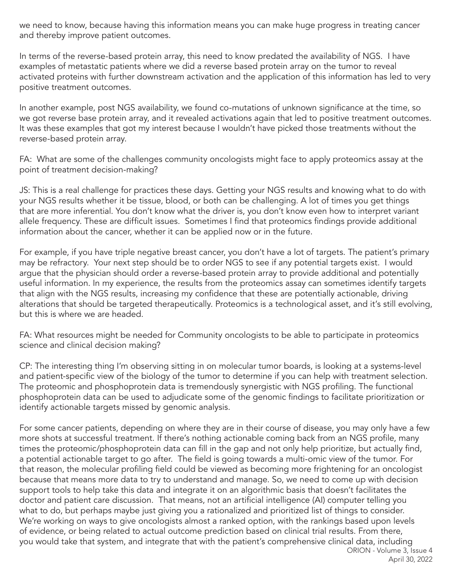we need to know, because having this information means you can make huge progress in treating cancer and thereby improve patient outcomes.

In terms of the reverse-based protein array, this need to know predated the availability of NGS. I have examples of metastatic patients where we did a reverse based protein array on the tumor to reveal activated proteins with further downstream activation and the application of this information has led to very positive treatment outcomes.

In another example, post NGS availability, we found co-mutations of unknown significance at the time, so we got reverse base protein array, and it revealed activations again that led to positive treatment outcomes. It was these examples that got my interest because I wouldn't have picked those treatments without the reverse-based protein array.

FA: What are some of the challenges community oncologists might face to apply proteomics assay at the point of treatment decision-making?

JS: This is a real challenge for practices these days. Getting your NGS results and knowing what to do with your NGS results whether it be tissue, blood, or both can be challenging. A lot of times you get things that are more inferential. You don't know what the driver is, you don't know even how to interpret variant allele frequency. These are difficult issues. Sometimes I find that proteomics findings provide additional information about the cancer, whether it can be applied now or in the future.

For example, if you have triple negative breast cancer, you don't have a lot of targets. The patient's primary may be refractory. Your next step should be to order NGS to see if any potential targets exist. I would argue that the physician should order a reverse-based protein array to provide additional and potentially useful information. In my experience, the results from the proteomics assay can sometimes identify targets that align with the NGS results, increasing my confidence that these are potentially actionable, driving alterations that should be targeted therapeutically. Proteomics is a technological asset, and it's still evolving, but this is where we are headed.

FA: What resources might be needed for Community oncologists to be able to participate in proteomics science and clinical decision making?

CP: The interesting thing I'm observing sitting in on molecular tumor boards, is looking at a systems-level and patient-specific view of the biology of the tumor to determine if you can help with treatment selection. The proteomic and phosphoprotein data is tremendously synergistic with NGS profiling. The functional phosphoprotein data can be used to adjudicate some of the genomic findings to facilitate prioritization or identify actionable targets missed by genomic analysis.

ORION - Volume 3, Issue 4 For some cancer patients, depending on where they are in their course of disease, you may only have a few more shots at successful treatment. If there's nothing actionable coming back from an NGS profile, many times the proteomic/phosphoprotein data can fill in the gap and not only help prioritize, but actually find, a potential actionable target to go after. The field is going towards a multi-omic view of the tumor. For that reason, the molecular profiling field could be viewed as becoming more frightening for an oncologist because that means more data to try to understand and manage. So, we need to come up with decision support tools to help take this data and integrate it on an algorithmic basis that doesn't facilitates the doctor and patient care discussion. That means, not an artificial intelligence (AI) computer telling you what to do, but perhaps maybe just giving you a rationalized and prioritized list of things to consider. We're working on ways to give oncologists almost a ranked option, with the rankings based upon levels of evidence, or being related to actual outcome prediction based on clinical trial results. From there, you would take that system, and integrate that with the patient's comprehensive clinical data, including